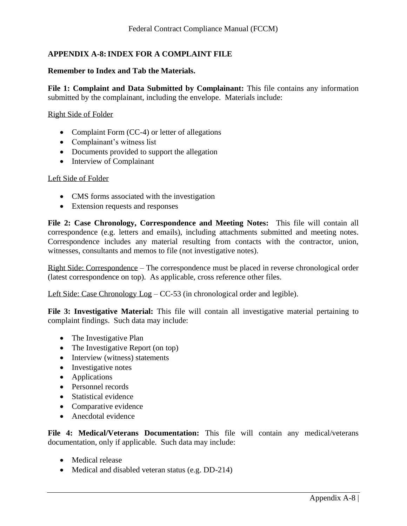## **APPENDIX A-8:INDEX FOR A COMPLAINT FILE**

## **Remember to Index and Tab the Materials.**

**File 1: Complaint and Data Submitted by Complainant:** This file contains any information submitted by the complainant, including the envelope. Materials include:

## Right Side of Folder

- Complaint Form (CC-4) or letter of allegations
- Complainant's witness list
- Documents provided to support the allegation
- Interview of Complainant

## Left Side of Folder

- CMS forms associated with the investigation
- Extension requests and responses

**File 2: Case Chronology, Correspondence and Meeting Notes:** This file will contain all correspondence (e.g. letters and emails), including attachments submitted and meeting notes. Correspondence includes any material resulting from contacts with the contractor, union, witnesses, consultants and memos to file (not investigative notes).

Right Side: Correspondence – The correspondence must be placed in reverse chronological order (latest correspondence on top). As applicable, cross reference other files.

Left Side: Case Chronology Log – CC-53 (in chronological order and legible).

**File 3: Investigative Material:** This file will contain all investigative material pertaining to complaint findings. Such data may include:

- The Investigative Plan
- The Investigative Report (on top)
- Interview (witness) statements
- Investigative notes
- Applications
- Personnel records
- Statistical evidence
- Comparative evidence
- Anecdotal evidence

**File 4: Medical/Veterans Documentation:** This file will contain any medical/veterans documentation, only if applicable. Such data may include:

- Medical release
- Medical and disabled veteran status (e.g. DD-214)